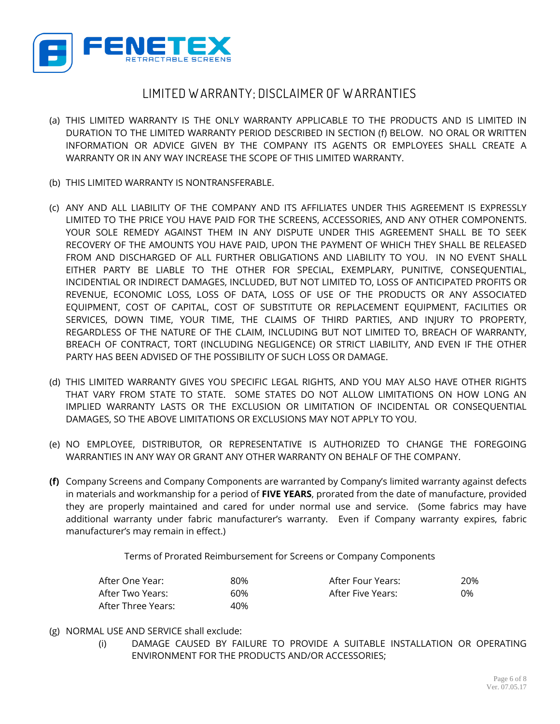

## **LIMITED W ARRANTY; DISCLAIMER OF W ARRANTIES**

- (a) THIS LIMITED WARRANTY IS THE ONLY WARRANTY APPLICABLE TO THE PRODUCTS AND IS LIMITED IN DURATION TO THE LIMITED WARRANTY PERIOD DESCRIBED IN SECTION (f) BELOW. NO ORAL OR WRITTEN INFORMATION OR ADVICE GIVEN BY THE COMPANY ITS AGENTS OR EMPLOYEES SHALL CREATE A WARRANTY OR IN ANY WAY INCREASE THE SCOPE OF THIS LIMITED WARRANTY.
- (b) THIS LIMITED WARRANTY IS NONTRANSFERABLE.
- (c) ANY AND ALL LIABILITY OF THE COMPANY AND ITS AFFILIATES UNDER THIS AGREEMENT IS EXPRESSLY LIMITED TO THE PRICE YOU HAVE PAID FOR THE SCREENS, ACCESSORIES, AND ANY OTHER COMPONENTS. YOUR SOLE REMEDY AGAINST THEM IN ANY DISPUTE UNDER THIS AGREEMENT SHALL BE TO SEEK RECOVERY OF THE AMOUNTS YOU HAVE PAID, UPON THE PAYMENT OF WHICH THEY SHALL BE RELEASED FROM AND DISCHARGED OF ALL FURTHER OBLIGATIONS AND LIABILITY TO YOU. IN NO EVENT SHALL EITHER PARTY BE LIABLE TO THE OTHER FOR SPECIAL, EXEMPLARY, PUNITIVE, CONSEQUENTIAL, INCIDENTIAL OR INDIRECT DAMAGES, INCLUDED, BUT NOT LIMITED TO, LOSS OF ANTICIPATED PROFITS OR REVENUE, ECONOMIC LOSS, LOSS OF DATA, LOSS OF USE OF THE PRODUCTS OR ANY ASSOCIATED EQUIPMENT, COST OF CAPITAL, COST OF SUBSTITUTE OR REPLACEMENT EQUIPMENT, FACILITIES OR SERVICES, DOWN TIME, YOUR TIME, THE CLAIMS OF THIRD PARTIES, AND INJURY TO PROPERTY, REGARDLESS OF THE NATURE OF THE CLAIM, INCLUDING BUT NOT LIMITED TO, BREACH OF WARRANTY, BREACH OF CONTRACT, TORT (INCLUDING NEGLIGENCE) OR STRICT LIABILITY, AND EVEN IF THE OTHER PARTY HAS BEEN ADVISED OF THE POSSIBILITY OF SUCH LOSS OR DAMAGE.
- (d) THIS LIMITED WARRANTY GIVES YOU SPECIFIC LEGAL RIGHTS, AND YOU MAY ALSO HAVE OTHER RIGHTS THAT VARY FROM STATE TO STATE. SOME STATES DO NOT ALLOW LIMITATIONS ON HOW LONG AN IMPLIED WARRANTY LASTS OR THE EXCLUSION OR LIMITATION OF INCIDENTAL OR CONSEQUENTIAL DAMAGES, SO THE ABOVE LIMITATIONS OR EXCLUSIONS MAY NOT APPLY TO YOU.
- (e) NO EMPLOYEE, DISTRIBUTOR, OR REPRESENTATIVE IS AUTHORIZED TO CHANGE THE FOREGOING WARRANTIES IN ANY WAY OR GRANT ANY OTHER WARRANTY ON BEHALF OF THE COMPANY.
- **(f)** Company Screens and Company Components are warranted by Company's limited warranty against defects in materials and workmanship for a period of **FIVE YEARS**, prorated from the date of manufacture, provided they are properly maintained and cared for under normal use and service. (Some fabrics may have additional warranty under fabric manufacturer's warranty. Even if Company warranty expires, fabric manufacturer's may remain in effect.)

Terms of Prorated Reimbursement for Screens or Company Components

| After One Year:    | 80% | After Four Years: | 20% |
|--------------------|-----|-------------------|-----|
| After Two Years:   | 60% | After Five Years: | 0%  |
| After Three Years: | 40% |                   |     |

- (g) NORMAL USE AND SERVICE shall exclude:
	- (i) DAMAGE CAUSED BY FAILURE TO PROVIDE A SUITABLE INSTALLATION OR OPERATING ENVIRONMENT FOR THE PRODUCTS AND/OR ACCESSORIES;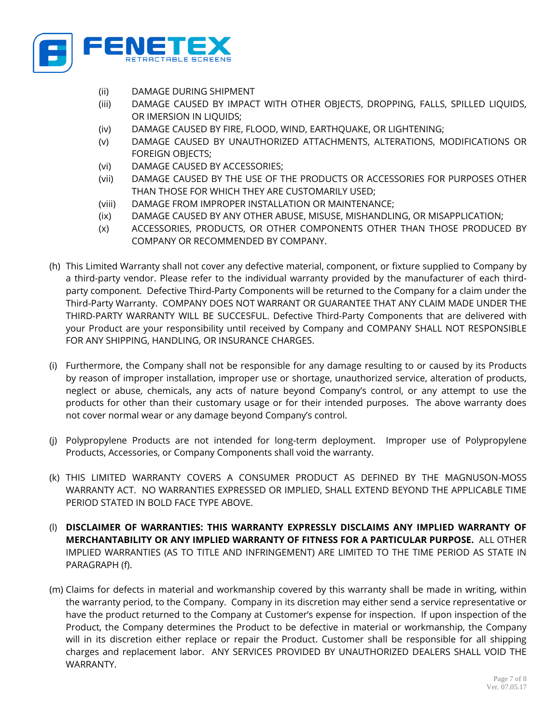

- (ii) DAMAGE DURING SHIPMENT
- (iii) DAMAGE CAUSED BY IMPACT WITH OTHER OBJECTS, DROPPING, FALLS, SPILLED LIQUIDS, OR IMERSION IN LIQUIDS;
- (iv) DAMAGE CAUSED BY FIRE, FLOOD, WIND, EARTHQUAKE, OR LIGHTENING;
- (v) DAMAGE CAUSED BY UNAUTHORIZED ATTACHMENTS, ALTERATIONS, MODIFICATIONS OR FOREIGN OBJECTS;
- (vi) DAMAGE CAUSED BY ACCESSORIES;
- (vii) DAMAGE CAUSED BY THE USE OF THE PRODUCTS OR ACCESSORIES FOR PURPOSES OTHER THAN THOSE FOR WHICH THEY ARE CUSTOMARILY USED;
- (viii) DAMAGE FROM IMPROPER INSTALLATION OR MAINTENANCE;
- (ix) DAMAGE CAUSED BY ANY OTHER ABUSE, MISUSE, MISHANDLING, OR MISAPPLICATION;
- (x) ACCESSORIES, PRODUCTS, OR OTHER COMPONENTS OTHER THAN THOSE PRODUCED BY COMPANY OR RECOMMENDED BY COMPANY.
- (h) This Limited Warranty shall not cover any defective material, component, or fixture supplied to Company by a third-party vendor. Please refer to the individual warranty provided by the manufacturer of each thirdparty component. Defective Third-Party Components will be returned to the Company for a claim under the Third-Party Warranty. COMPANY DOES NOT WARRANT OR GUARANTEE THAT ANY CLAIM MADE UNDER THE THIRD-PARTY WARRANTY WILL BE SUCCESFUL. Defective Third-Party Components that are delivered with your Product are your responsibility until received by Company and COMPANY SHALL NOT RESPONSIBLE FOR ANY SHIPPING, HANDLING, OR INSURANCE CHARGES.
- (i) Furthermore, the Company shall not be responsible for any damage resulting to or caused by its Products by reason of improper installation, improper use or shortage, unauthorized service, alteration of products, neglect or abuse, chemicals, any acts of nature beyond Company's control, or any attempt to use the products for other than their customary usage or for their intended purposes. The above warranty does not cover normal wear or any damage beyond Company's control.
- (j) Polypropylene Products are not intended for long-term deployment. Improper use of Polypropylene Products, Accessories, or Company Components shall void the warranty.
- (k) THIS LIMITED WARRANTY COVERS A CONSUMER PRODUCT AS DEFINED BY THE MAGNUSON-MOSS WARRANTY ACT. NO WARRANTIES EXPRESSED OR IMPLIED, SHALL EXTEND BEYOND THE APPLICABLE TIME PERIOD STATED IN BOLD FACE TYPE ABOVE.
- (l) **DISCLAIMER OF WARRANTIES: THIS WARRANTY EXPRESSLY DISCLAIMS ANY IMPLIED WARRANTY OF MERCHANTABILITY OR ANY IMPLIED WARRANTY OF FITNESS FOR A PARTICULAR PURPOSE.** ALL OTHER IMPLIED WARRANTIES (AS TO TITLE AND INFRINGEMENT) ARE LIMITED TO THE TIME PERIOD AS STATE IN PARAGRAPH (f).
- (m) Claims for defects in material and workmanship covered by this warranty shall be made in writing, within the warranty period, to the Company. Company in its discretion may either send a service representative or have the product returned to the Company at Customer's expense for inspection. If upon inspection of the Product, the Company determines the Product to be defective in material or workmanship, the Company will in its discretion either replace or repair the Product. Customer shall be responsible for all shipping charges and replacement labor. ANY SERVICES PROVIDED BY UNAUTHORIZED DEALERS SHALL VOID THE WARRANTY.